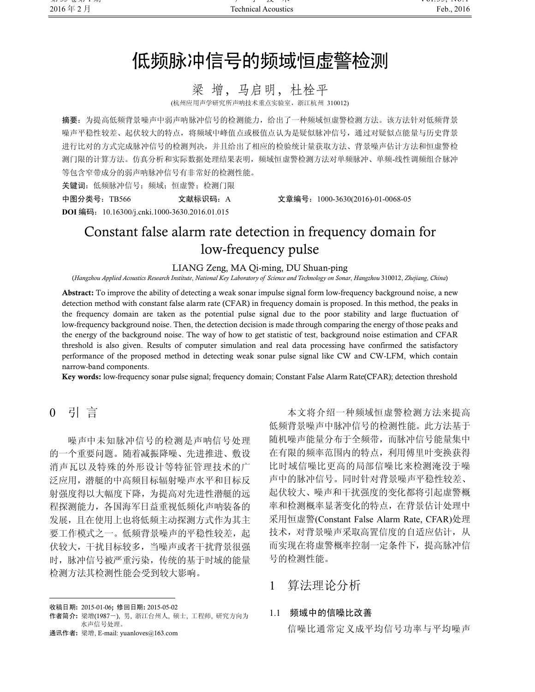# 低频脉冲信号的频域恒虚警检测

# 梁 增, 马启明, 杜栓平

(杭州应用声学研究所声呐技术重点实验室,浙江杭州 310012)

摘要:为提高低频背景噪声中弱声呐脉冲信号的检测能力,给出了一种频域恒虚警检测方法。该方法针对低频背景 噪声平稳性较差、起伏较大的特点,将频域中峰值点或极值点认为是疑似脉冲信号,通过对疑似点能量与历史背景 进行比对的方式完成脉冲信号的检测判决,并且给出了相应的检验统计量获取方法、背景噪声估计方法和恒虚警检 测门限的计算方法。仿真分析和实际数据处理结果表明,频域恒虚警检测方法对单频脉冲、单频-线性调频组合脉冲 等包含窄带成分的弱声呐脉冲信号有非常好的检测性能。

关键词: 低频脉冲信号; 频域; 恒虚警; 检测门限

中图分类号:TB566 文献标识码:A 文章编号:1000-3630(2016)-01-0068-05

DOI 编码:10.16300/j.cnki.1000-3630.2016.01.015

# Constant false alarm rate detection in frequency domain for low-frequency pulse

LIANG Zeng, MA Qi-ming, DU Shuan-ping (Hangzhou Applied Acoustics Research Institute, National Key Laboratory of Science and Technology on Sonar, Hangzhou 310012, Zhejiang, China)

Abstract: To improve the ability of detecting a weak sonar impulse signal form low-frequency background noise, a new detection method with constant false alarm rate (CFAR) in frequency domain is proposed. In this method, the peaks in the frequency domain are taken as the potential pulse signal due to the poor stability and large fluctuation of low-frequency background noise. Then, the detection decision is made through comparing the energy of those peaks and the energy of the background noise. The way of how to get statistic of test, background noise estimation and CFAR threshold is also given. Results of computer simulation and real data processing have confirmed the satisfactory performance of the proposed method in detecting weak sonar pulse signal like CW and CW-LFM, which contain narrow-band components.

Key words: low-frequency sonar pulse signal; frequency domain; Constant False Alarm Rate(CFAR); detection threshold

0 引 言

֦

噪声中未知脉冲信号的检测是声呐信号处理 的一个重要问题。随着减振降噪、先进推进、敷设 消声瓦以及特殊的外形设计等特征管理技术的广 泛应用,潜艇的中高频目标辐射噪声水平和目标反 射强度得以大幅度下降,为提高对先进性潜艇的远 程探测能力,各国海军日益重视低频化声呐装备的 发展,且在使用上也将低频主动探测方式作为其主 要工作模式之一。低频背景噪声的平稳性较差,起 伏较大,干扰目标较多,当噪声或者干扰背景很强 时,脉冲信号被严重污染,传统的基于时域的能量 检测方法其检测性能会受到较大影响。

本文将介绍一种频域恒虚警检测方法来提高 低频背景噪声中脉冲信号的检测性能。此方法基于 随机噪声能量分布于全频带,而脉冲信号能量集中 在有限的频率范围内的特点,利用傅里叶变换获得 比时域信噪比更高的局部信噪比来检测淹没于噪 声中的脉冲信号。同时针对背景噪声平稳性较差、 起伏较大、噪声和干扰强度的变化都将引起虚警概 率和检测概率显著变化的特点,在背景估计处理中 采用恒虚警(Constant False Alarm Rate, CFAR)处理 技术,对背景噪声采取高置信度的自适应估计,从 而实现在将虚警概率控制一定条件下,提高脉冲信 号的检测性能。

# 1 算法理论分析

#### 1.1 频域中的信噪比改善

信噪比通常定义成平均信号功率与平均噪声

收稿日期: 2015-01-06; 修回日期: 2015-05-02

作者简介: 梁增(1987-), 男, 浙江台州人, 硕士, 工程师, 研究方向为 水声信号处理。

通讯作者: 梁增, E-mail: yuanloves@163.com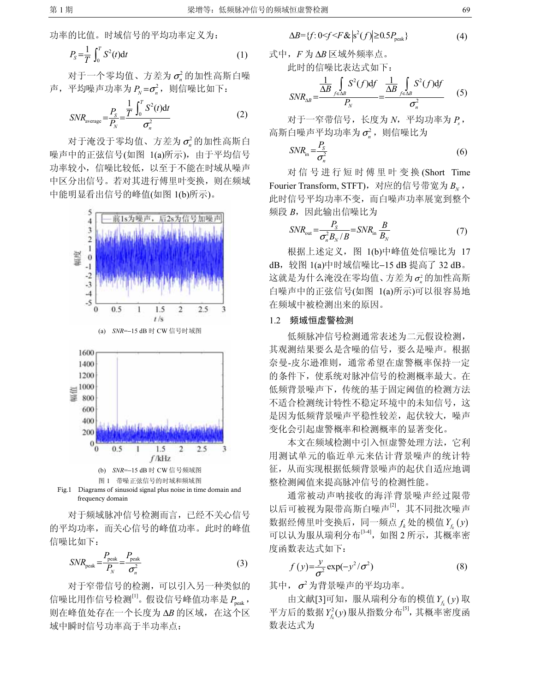$$
P_{S} = \frac{1}{T} \int_{0}^{T} S^{2}(t) \mathrm{d}t \tag{1}
$$

对于一个零均值、方差为 σ<sup>2</sup> 的加性高斯白噪 声,平均噪声功率为 $P_{N} = \sigma_{n}^{2}$ , 则信噪比如下:

$$
SNR_{\text{average}} = \frac{P_S}{P_N} = \frac{\frac{1}{T} \int_0^T S^2(t) \mathrm{d}t}{\sigma_n^2} \tag{2}
$$

对于淹没于零均值、方差为 σ2 的加性高斯白 噪声中的正弦信号(如图 1(a)所示), 由于平均信号 功率较小,信噪比较低,以至于不能在时域从噪声 中区分出信号。若对其进行傅里叶变换,则在频域 中能明显看出信号的峰值(如图 1(b)所示)。



frequency domain 对于频域脉冲信号检测而言,已经不关心信号

的平均功率,而关心信号的峰值功率。此时的峰值 信噪比如下:

$$
SNR_{\text{peak}} = \frac{P_{\text{peak}}}{P_N} = \frac{P_{\text{peak}}}{\sigma_n^2}
$$
 (3)

对于窄带信号的检测,可以引入另一种类似的 信噪比用作信号检测 $^{[1]}$ 。假设信号峰值功率是 $P_{\text{peak}}$ , 则在峰值处存在一个长度为 ΔB 的区域,在这个区 域中瞬时信号功率高于半功率点:

$$
\Delta B = \{ f : 0 \le f \le F \& \left| \mathbf{s}^2(f) \right| \ge 0.5 P_{\text{peak}} \} \tag{4}
$$

式中,F 为 ΔB 区域外频率点。 此时的信噪比表达式如下:

$$
SNR_{\Delta B} = \frac{\frac{1}{\Delta B} \int_{f \in \Delta B} S^2(f) df}{P_N} = \frac{\frac{1}{\Delta B} \int_{f \in \Delta B} S^2(f) df}{\sigma_n^2}
$$
 (5)

对于一窄带信号,长度为 N,平均功率为 P, 高斯白噪声平均功率为 $\sigma$ <sup>2</sup>, 则信噪比为

$$
SNR_{\rm in} = \frac{P_{\rm S}}{\sigma_n^2} \tag{6}
$$

对信号进行短时傅里叶变换 (Short Time Fourier Transform, STFT), 对应的信号带宽为  $B_{\scriptscriptstyle N}$ , 此时信号平均功率不变,而白噪声功率展宽到整个 频段 B, 因此输出信噪比为

$$
SNR_{\text{out}} = \frac{P_S}{\sigma_n^2 B_N / B} = SNR_{\text{in}} \frac{B}{B_N}
$$
 (7)

根据上述定义,图 1(b)中峰值处信噪比为 17 dB,较图 1(a)中时域信噪比−15 dB 提高了 32 dB。 这就是为什么淹没在零均值、方差为  $\sigma_i^2$ 的加性高斯 白噪声中的正弦信号(如图 1(a)所示)可以很容易地 在频域中被检测出来的原因。

#### 1.2 频域恒虚警检测

低频脉冲信号检测通常表述为二元假设检测, 其观测结果要么是含噪的信号,要么是噪声。根据 奈曼-皮尔逊准则,通常希望在虚警概率保持一定 的条件下,使系统对脉冲信号的检测概率最大。在 低频背景噪声下,传统的基于固定阈值的检测方法 不适合检测统计特性不稳定环境中的未知信号,这 是因为低频背景噪声平稳性较差,起伏较大,噪声 变化会引起虚警概率和检测概率的显著变化。

本文在频域检测中引入恒虚警处理方法,它利 用测试单元的临近单元来估计背景噪声的统计特 征,从而实现根据低频背景噪声的起伏自适应地调 整检测阈值来提高脉冲信号的检测性能。

通常被动声呐接收的海洋背景噪声经过限带 以后可被视为限带高斯白噪声<sup>[2]</sup>, 其不同批次噪声 数据经傅里叶变换后,同一频点  $f_k$  处的模值  $Y_t$  (y) 可以认为服从瑞利分布[3-4], 如图 2 所示, 其概率密 度函数表达式如下:

$$
f(y) = \frac{y}{\sigma^2} \exp(-y^2/\sigma^2)
$$
 (8)

其中,  $\sigma^2$ 为背景噪声的平均功率。

由文献[3]可知,服从瑞利分布的模值  $Y_{t}(y)$  取 平方后的数据 $Y_{f_k}^2(y)$ 服从指数分布 $^{[5]}$ ,其概率密度函 数表达式为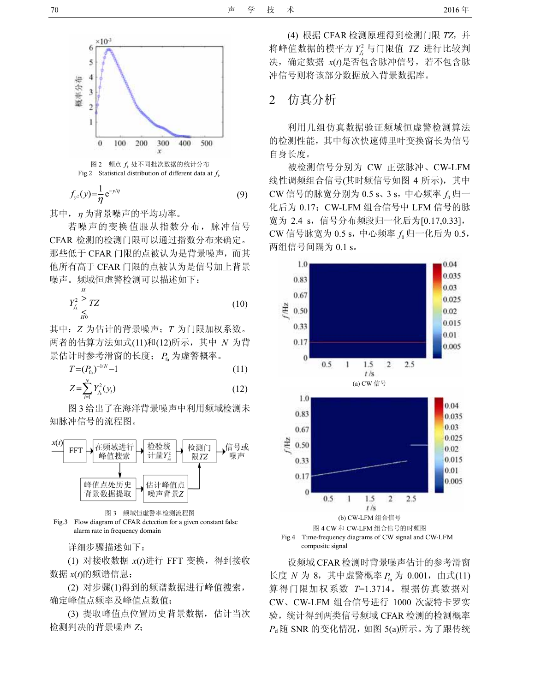

$$
f_{\gamma^2}(y) = \frac{1}{\eta} e^{-y/\eta} \tag{9}
$$

其中, η 为背景噪声的平均功率。

若噪声的变换值服从指数分布,脉冲信号 CFAR 检测的检测门限可以通过指数分布来确定。 那些低于 CFAR 门限的点被认为是背景噪声,而其 他所有高于 CFAR 门限的点被认为是信号加上背景 噪声。频域恒虚警检测可以描述如下:

$$
Y_{f_k}^2 \underset{H_0}{\overset{H_1}{\geq}} TZ \tag{10}
$$

其中: Z 为估计的背景噪声; T 为门限加权系数。 两者的估算方法如式(11)和(12)所示,其中 N 为背 景估计时参考滑窗的长度;  $P_{\rm a}$  为虚警概率。

$$
T = (P_{\text{fa}})^{-1/N} - 1 \tag{11}
$$

$$
Z = \sum_{i=1}^{N} Y_{f_k}^2(y_i)
$$
 (12)

图 3 给出了在海洋背景噪声中利用频域检测未 知脉冲信号的流程图。



图 3 频域恒虚警率检测流程图 Fig.3 Flow diagram of CFAR detection for a given constant false alarm rate in frequency domain

详细步骤描述如下:

(1) 对接收数据  $x(t)$ 进行 FFT 变换, 得到接收 数据  $x(t)$ 的频谱信息;

(2) 对步骤(1)得到的频谱数据进行峰值搜索, 确定峰值点频率及峰值点数值;

(3) 提取峰值点位置历史背景数据,估计当次 检测判决的背景噪声 Z;

(4) 根据 CFAR 检测原理得到检测门限 TZ,并 将峰值数据的模平方 $Y_{f_k}^2$ 与门限值  $TZ$  进行比较判 决,确定数据 x(t)是否包含脉冲信号, 若不包含脉 冲信号则将该部分数据放入背景数据库。

# 2 仿真分析

利用几组仿真数据验证频域恒虚警检测算法 的检测性能,其中每次快速傅里叶变换窗长为信号 自身长度。

被检测信号分别为 CW 正弦脉冲、CW-LFM 线性调频组合信号(其时频信号如图 4 所示),其中  $CW$  信号的脉宽分别为  $0.5 s$ 、 $3 s$ , 中心频率  $f_0$  归一 化后为 0.17; CW-LFM 组合信号中 LFM 信号的脉 宽为 2.4 s, 信号分布频段归一化后为[0.17,0.33], CW 信号脉宽为 0.5 s, 中心频率  $f_{\rm o}$  归一化后为 0.5, 两组信号间隔为 0.1 s。



composite signal

设频域 CFAR 检测时背景噪声估计的参考滑窗 长度  $N \nmid 3$ , 其中虚警概率  $P_{f_a}$  为 0.001, 由式(11) 算得门限加权系数 T=1.3714。根据仿真数据对 CW、CW-LFM 组合信号进行 1000 次蒙特卡罗实 验,统计得到两类信号频域 CFAR 检测的检测概率  $P_{\rm d}$ 随 SNR 的变化情况, 如图 5(a)所示。为了跟传统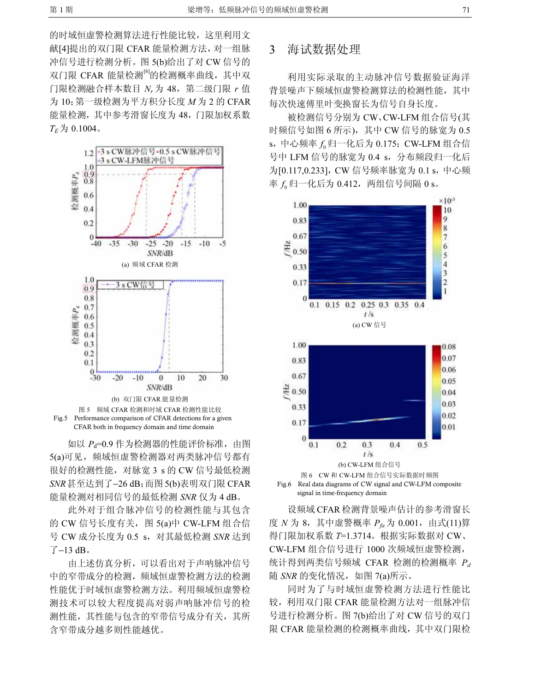的时域恒虚警检测算法进行性能比较,这里利用文 献[4]提出的双门限 CFAR 能量检测方法,对一组脉 冲信号进行检测分析。图 5(b)给出了对 CW 信号的 双门限 CFAR 能量检测<sup>[6]</sup>的检测概率曲线, 其中双 门限检测融合样本数目  $N_r$ 为 48, 第二级门限  $r$  值 为  $10$ ; 第一级检测为平方积分长度  $M$  为 2 的 CFAR 能量检测,其中参考滑窗长度为 48,门限加权系数  $T_E \nightrightarrows 0.1004$ 。



如以 P<sub>d</sub>=0.9 作为检测器的性能评价标准, 由图 5(a)可见, 频域恒虚警检测器对两类脉冲信号都有 很好的检测性能,对脉宽 3 s 的 CW 信号最低检测 SNR甚至达到了−26 dB;而图5(b)表明双门限CFAR 能量检测对相同信号的最低检测 SNR 仅为 4 dB。

此外对于组合脉冲信号的检测性能与其包含 的 CW 信号长度有关, 图 5(a)中 CW-LFM 组合信 号 CW 成分长度为 0.5 s, 对其最低检测 SNR 达到 了−13 dB。

由上述仿真分析,可以看出对于声呐脉冲信号 中的窄带成分的检测,频域恒虚警检测方法的检测 性能优于时域恒虚警检测方法。利用频域恒虚警检 测技术可以较大程度提高对弱声呐脉冲信号的检 测性能,其性能与包含的窄带信号成分有关,其所 含窄带成分越多则性能越优。

### 3 海试数据处理

利用实际录取的主动脉冲信号数据验证海洋 背景噪声下频域恒虚警检测算法的检测性能,其中 每次快速傅里叶变换窗长为信号自身长度。

被检测信号分别为 CW、CW-LFM 组合信号(其 时频信号如图 6 所示), 其中 CW 信号的脉宽为 0.5 s, 中心频率 f 归一化后为 0.175; CW-LFM 组合信 号中 LFM 信号的脉宽为 0.4 s, 分布频段归一化后 为[0.117,0.233], CW 信号频率脉宽为 0.1 s, 中心频 率 $f_a$ 归一化后为 0.412, 两组信号间隔 0 s。



signal in time-frequency domain

设频域 CFAR 检测背景噪声估计的参考滑窗长 度  $N$  为 8, 其中虚警概率  $P_{fa}$  为 0.001, 由式(11)算 得门限加权系数 T=1.3714。根据实际数据对 CW、 CW-LFM 组合信号进行 1000 次频域恒虚警检测, 统计得到两类信号频域 CFAR 检测的检测概率  $P_d$ 随 SNR 的变化情况, 如图 7(a)所示。

同时为了与时域恒虚警检测方法进行性能比 较,利用双门限 CFAR 能量检测方法对一组脉冲信 号进行检测分析。图 7(b)给出了对 CW 信号的双门 限 CFAR 能量检测的检测概率曲线,其中双门限检